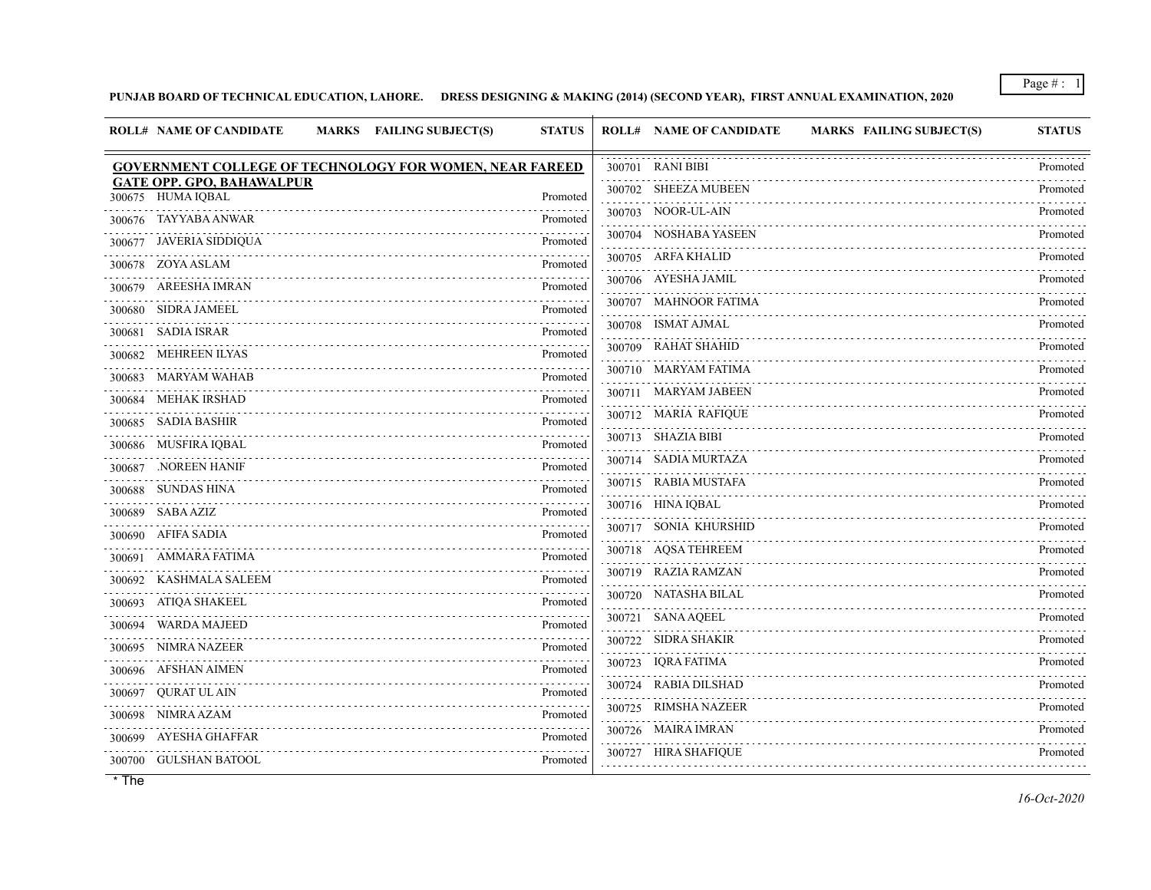## **PUNJAB BOARD OF TECHNICAL EDUCATION, LAHORE. DRESS DESIGNING & MAKING (2014) (SECOND YEAR), FIRST ANNUAL EXAMINATION, 2020**

| <b>ROLL# NAME OF CANDIDATE</b><br>MARKS FAILING SUBJECT(S)     | <b>STATUS</b> | <b>ROLL# NAME OF CANDIDATE</b><br><b>MARKS FAILING SUBJECT(S)</b> | <b>STATUS</b> |
|----------------------------------------------------------------|---------------|-------------------------------------------------------------------|---------------|
| <b>GOVERNMENT COLLEGE OF TECHNOLOGY FOR WOMEN, NEAR FAREED</b> |               | 300701 RANI BIBI                                                  | Promoted      |
| <b>GATE OPP. GPO, BAHAWALPUR</b><br>300675 HUMA IQBAL          | Promoted      | 300702 SHEEZA MUBEEN                                              | Promoted      |
| 300676 TAYYABA ANWAR                                           | .<br>Promoted | 300703 NOOR-UL-AIN                                                | Promoted      |
| JAVERIA SIDDIQUA<br>300677                                     | Promoted      | 300704 NOSHABA YASEEN                                             | Promoted      |
| 300678 ZOYA ASLAM                                              | Promoted      | 300705 ARFA KHALID                                                | Promoted      |
| 300679 AREESHA IMRAN                                           | Promoted      | 300706 AYESHA JAMIL                                               | Promoted      |
| 300680 SIDRA JAMEEL                                            | Promoted      | 300707 MAHNOOR FATIMA                                             | Promoted      |
| 300681 SADIA ISRAR                                             | Promoted      | 300708 ISMAT AJMAL                                                | Promoted      |
| 300682 MEHREEN ILYAS                                           | Promoted      | 300709 RAHAT SHAHID                                               | Promoted      |
| MARYAM WAHAB<br>300683                                         | Promoted      | 300710 MARYAM FATIMA                                              | Promoted      |
| MEHAK IRSHAD<br>300684                                         | .<br>Promoted | 300711 MARYAM JABEEN                                              | Promoted<br>. |
| 300685 SADIA BASHIR                                            | Promoted      | 300712 MARIA RAFIQUE                                              | Promoted      |
| 300686 MUSFIRA IQBAL                                           | Promoted      | 300713 SHAZIA BIBI                                                | Promoted      |
| NOREEN HANIF.<br>300687                                        | Promoted      | 300714 SADIA MURTAZA                                              | Promoted      |
| 300688 SUNDAS HINA                                             | Promoted      | 300715 RABIA MUSTAFA                                              | Promoted      |
| 300689 SABA AZIZ                                               | Promoted      | 300716 HINA IQBAL                                                 | Promoted      |
| 300690 AFIFA SADIA                                             | Promoted      | 300717 SONIA KHURSHID                                             | Promoted      |
| 300691 AMMARA FATIMA                                           | Promoted      | 300718 AQSA TEHREEM                                               | Promoted<br>. |
| KASHMALA SALEEM<br>300692                                      | Promoted      | 300719 RAZIA RAMZAN                                               | Promoted      |
| 300693 ATIQA SHAKEEL                                           | Promoted      | 300720 NATASHA BILAL                                              | Promoted      |
| WARDA MAJEED<br>300694                                         | Promoted      | 300721 SANA AQEEL                                                 | Promoted      |
| NIMRA NAZEER<br>300695                                         | Promoted      | 300722 SIDRA SHAKIR                                               | Promoted      |
| 300696 AFSHAN AIMEN                                            | Promoted      | 300723 IQRA FATIMA                                                | Promoted      |
| 300697 QURAT UL AIN                                            | Promoted      | 300724 RABIA DILSHAD                                              | Promoted      |
| 300698 NIMRA AZAM                                              | Promoted      | 300725 RIMSHA NAZEER                                              | Promoted      |
| 300699 AYESHA GHAFFAR                                          | Promoted      | 300726 MAIRA IMRAN                                                | Promoted      |
| 300700 GULSHAN BATOOL                                          | Promoted      | 300727 HIRA SHAFIQUE                                              | Promoted      |
|                                                                |               |                                                                   |               |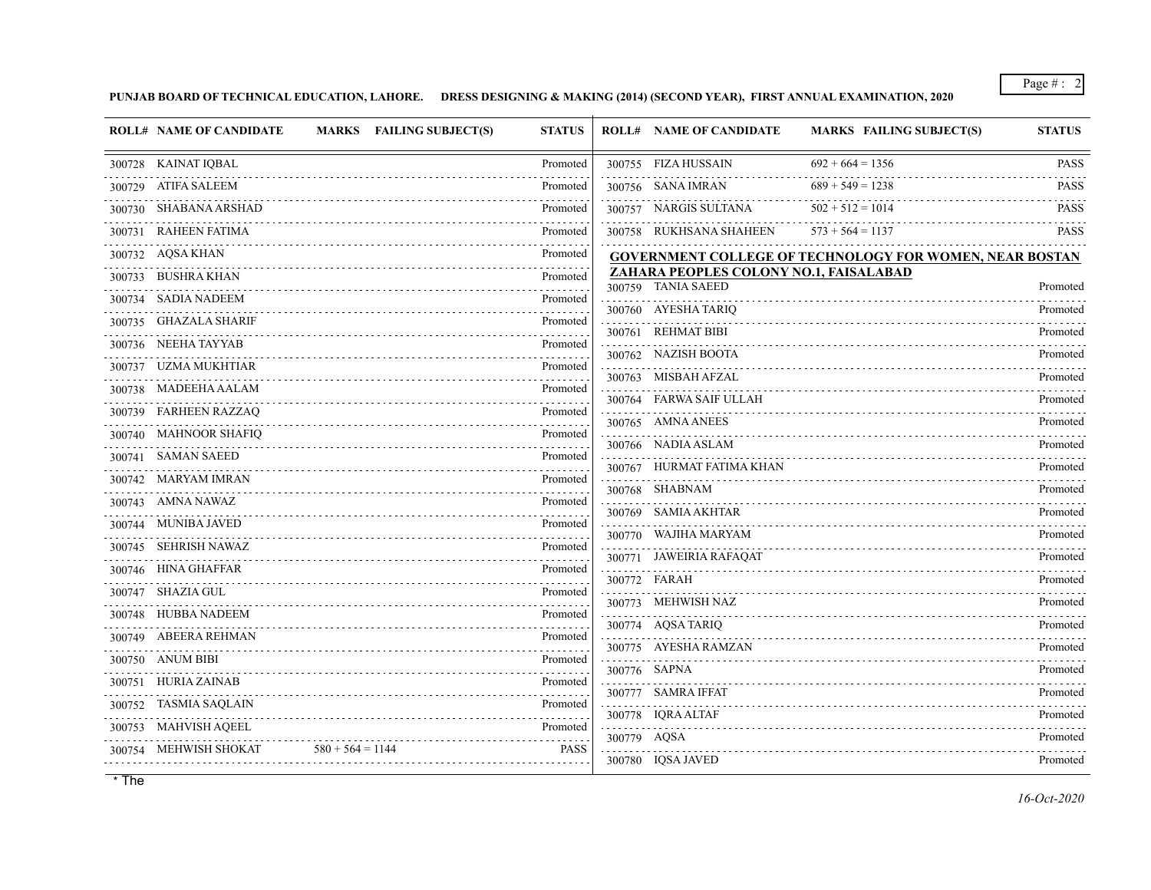## **PUNJAB BOARD OF TECHNICAL EDUCATION, LAHORE. DRESS DESIGNING & MAKING (2014) (SECOND YEAR), FIRST ANNUAL EXAMINATION, 2020**

|        | <b>ROLL# NAME OF CANDIDATE</b> |                    | <b>MARKS</b> FAILING SUBJECT(S) | <b>STATUS</b> |             | <b>ROLL# NAME OF CANDIDATE</b>                               | <b>MARKS FAILING SUBJECT(S)</b>                                | <b>STATUS</b> |
|--------|--------------------------------|--------------------|---------------------------------|---------------|-------------|--------------------------------------------------------------|----------------------------------------------------------------|---------------|
|        | 300728 KAINAT IQBAL            |                    |                                 | Promoted      |             | 300755 FIZA HUSSAIN                                          | $692 + 664 = 1356$                                             | <b>PASS</b>   |
| 300729 | ATIFA SALEEM                   |                    |                                 | Promoted      |             | 300756 SANA IMRAN                                            | $689 + 549 = 1238$                                             | <b>PASS</b>   |
|        | 300730 SHABANA ARSHAD          |                    |                                 | Promoted      |             | 300757 NARGIS SULTANA                                        | $502 + 512 = 1014$                                             | <b>PASS</b>   |
|        | 300731 RAHEEN FATIMA           |                    |                                 | Promoted      |             | 300758 RUKHSANA SHAHEEN                                      | $573 + 564 = 1137$                                             | <b>PASS</b>   |
|        | 300732 AQSA KHAN               |                    |                                 | Promoted      |             |                                                              | <b>GOVERNMENT COLLEGE OF TECHNOLOGY FOR WOMEN, NEAR BOSTAN</b> |               |
| 300733 | BUSHRA KHAN                    |                    |                                 | Promoted      |             | ZAHARA PEOPLES COLONY NO.1, FAISALABAD<br>300759 TANIA SAEED |                                                                | Promoted      |
|        | 300734 SADIA NADEEM            |                    |                                 | Promoted      |             | 300760 AYESHA TARIQ                                          |                                                                | Promoted      |
| 300735 | GHAZALA SHARIF                 |                    |                                 | Promoted      | 300761      | <b>REHMAT BIBI</b>                                           |                                                                | Promoted      |
|        | 300736 NEEHA TAYYAB            |                    |                                 | Promoted      |             | 300762 NAZISH BOOTA                                          |                                                                | Promoted      |
|        | 300737 UZMA MUKHTIAR           |                    |                                 | Promoted      |             | 300763 MISBAH AFZAL                                          |                                                                | Promoted      |
|        | 300738 MADEEHA AALAM           |                    |                                 | Promoted      |             | 300764 FARWA SAIF ULLAH                                      |                                                                | Promoted      |
|        | 300739 FARHEEN RAZZAQ          |                    |                                 | Promoted      |             | 300765 AMNA ANEES                                            |                                                                | Promoted      |
|        | 300740 MAHNOOR SHAFIQ          |                    |                                 | Promoted<br>. |             | 300766 NADIA ASLAM                                           |                                                                | Promoted      |
|        | 300741 SAMAN SAEED             |                    |                                 | Promoted      |             | 300767 HURMAT FATIMA KHAN                                    |                                                                | Promoted      |
|        | 300742 MARYAM IMRAN            |                    |                                 | Promoted<br>. |             | 300768 SHABNAM                                               |                                                                | Promoted      |
| 300743 | AMNA NAWAZ                     |                    |                                 | Promoted      |             | 300769 SAMIA AKHTAR                                          |                                                                | Promoted      |
|        | 300744 MUNIBA JAVED            |                    |                                 | Promoted      |             | 300770 WAJIHA MARYAM                                         |                                                                | Promoted      |
|        | 300745 SEHRISH NAWAZ           |                    |                                 | Promoted      |             | 300771 JAWEIRIA RAFAQAT                                      |                                                                | Promoted      |
|        | 300746 HINA GHAFFAR            |                    |                                 | Promoted      |             | 300772 FARAH                                                 |                                                                | Promoted      |
|        | 300747 SHAZIA GUL              |                    |                                 | Promoted      |             | 300773 MEHWISH NAZ                                           |                                                                | Promoted      |
|        | 300748 HUBBA NADEEM            |                    |                                 | Promoted      |             | 300774 AQSA TARIQ                                            |                                                                | Promoted      |
|        | 300749 ABEERA REHMAN           |                    |                                 | Promoted      |             | 300775 AYESHA RAMZAN                                         |                                                                | Promoted      |
|        | 300750 ANUM BIBI               |                    |                                 | Promoted      |             | 300776 SAPNA                                                 |                                                                | Promoted      |
| 300751 | HURIA ZAINAB                   |                    |                                 | Promoted      |             | 300777 SAMRA IFFAT                                           |                                                                | Promoted      |
|        | 300752 TASMIA SAQLAIN          |                    |                                 | Promoted      |             | 300778 IQRA ALTAF                                            |                                                                | Promoted      |
| 300753 | <b>MAHVISH AQEEL</b>           |                    |                                 | Promoted      | 300779 AQSA |                                                              |                                                                | Promoted      |
|        | 300754 MEHWISH SHOKAT          | $580 + 564 = 1144$ |                                 | <b>PASS</b>   |             | 300780 IQSA JAVED                                            |                                                                | Promoted      |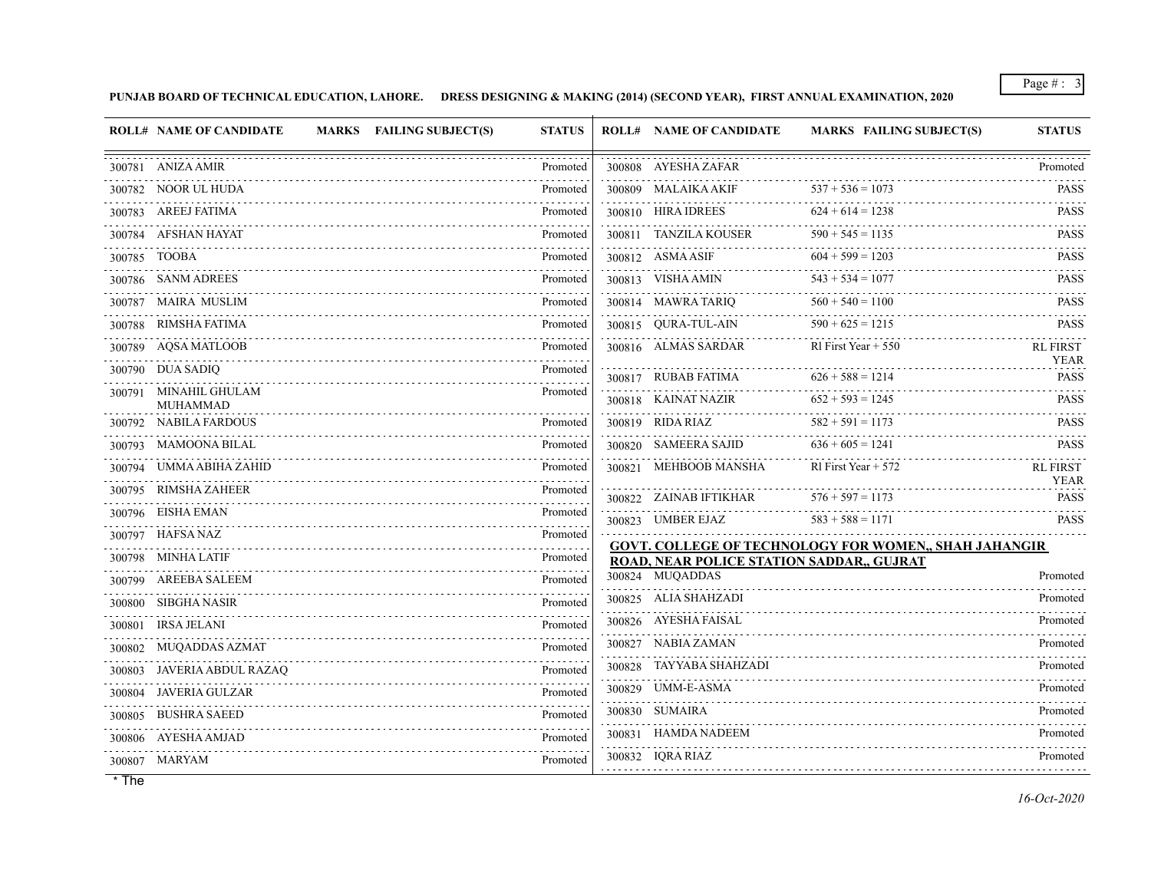### **PUNJAB BOARD OF TECHNICAL EDUCATION, LAHORE. DRESS DESIGNING & MAKING (2014) (SECOND YEAR), FIRST ANNUAL EXAMINATION, 2020**

|        | <b>ROLL# NAME OF CANDIDATE</b><br>MARKS FAILING SUBJECT(S) | <b>STATUS</b> |        | <b>ROLL# NAME OF CANDIDATE</b>            | <b>MARKS FAILING SUBJECT(S)</b>                              | <b>STATUS</b>                                                |
|--------|------------------------------------------------------------|---------------|--------|-------------------------------------------|--------------------------------------------------------------|--------------------------------------------------------------|
|        | 300781 ANIZA AMIR                                          | Promoted      |        | 300808 AYESHA ZAFAR                       |                                                              | Promoted                                                     |
|        | 300782 NOOR UL HUDA                                        | Promoted      |        | 300809 MALAIKA AKIF                       | $537 + 536 = 1073$                                           | <b>PASS</b>                                                  |
|        | 300783 AREEJ FATIMA                                        | Promoted      |        | 300810 HIRA IDREES                        | $624 + 614 = 1238$                                           | PASS                                                         |
|        | 300784 AFSHAN HAYAT                                        | Promoted      |        | 300811 TANZILA KOUSER                     | $590 + 545 = 1135$                                           | <b>PASS</b>                                                  |
|        | 300785 TOOBA                                               | Promoted      |        | 300812 ASMA ASIF                          | $604 + 599 = 1203$                                           | in provincia di c<br><b>PASS</b>                             |
|        | 300786 SANM ADREES                                         | Promoted      |        | 300813 VISHA AMIN                         | $543 + 534 = 1077$                                           | <b>PASS</b>                                                  |
|        | 300787 MAIRA MUSLIM                                        | Promoted      |        | 300814 MAWRA TARIQ                        | $560 + 540 = 1100$                                           | PASS                                                         |
|        | 300788 RIMSHA FATIMA                                       | Promoted      |        | 300815 QURA-TUL-AIN                       | $590 + 625 = 1215$                                           | <b>PASS</b>                                                  |
|        | 300789 AQSA MATLOOB                                        | Promoted      |        | 300816 ALMAS SARDAR                       | RI First Year $+ 550$                                        | <u>se se se se s</u><br><b>RL FIRST</b>                      |
|        | 300790 DUA SADIQ                                           | Promoted      |        | 300817 RUBAB FATIMA                       | $626 + 588 = 1214$                                           | <b>YEAR</b><br><b>PASS</b>                                   |
|        | 300791 MINAHIL GHULAM                                      | Promoted      |        | 300818 KAINAT NAZIR                       | $652 + 593 = 1245$                                           | <b>PASS</b>                                                  |
|        | <b>MUHAMMAD</b><br>300792 NABILA FARDOUS                   | Promoted      |        | 300819 RIDA RIAZ                          | $582 + 591 = 1173$                                           | $- - - - - -$<br><b>PASS</b>                                 |
|        | 300793 MAMOONA BILAL                                       | Promoted      |        | 300820 SAMEERA SAJID                      | $636 + 605 = 1241$                                           | <b>PASS</b>                                                  |
|        | 300794 UMMA ABIHA ZAHID                                    | Promoted      | 300821 | MEHBOOB MANSHA                            | RI First Year $+ 572$                                        | <b>RL FIRST</b>                                              |
|        | 300795 RIMSHA ZAHEER                                       | Promoted      |        |                                           |                                                              | <b>YEAR</b>                                                  |
|        | 300796 EISHA EMAN                                          | Promoted      |        | 300822 ZAINAB IFTIKHAR                    | $576 + 597 = 1173$                                           | PASS<br>$\alpha$ , $\alpha$ , $\alpha$ , $\alpha$ , $\alpha$ |
|        | 300797 HAFSA NAZ                                           | Promoted      |        | 300823 UMBER EJAZ                         | $583 + 588 = 1171$                                           | <b>PASS</b>                                                  |
|        | 300798 MINHA LATIF                                         | Promoted      |        | ROAD, NEAR POLICE STATION SADDAR,, GUJRAT | <b>GOVT. COLLEGE OF TECHNOLOGY FOR WOMEN,, SHAH JAHANGIR</b> |                                                              |
|        | 300799 AREEBA SALEEM                                       | Promoted      |        | 300824 MUQADDAS                           |                                                              | Promoted                                                     |
|        | 300800 SIBGHA NASIR                                        | Promoted      |        | 300825 ALIA SHAHZADI                      |                                                              | Promoted                                                     |
| 300801 | IRSA JELANI                                                | Promoted      |        | 300826 AYESHA FAISAL                      |                                                              | Promoted                                                     |
|        | 300802 MUQADDAS AZMAT                                      | Promoted      |        | 300827 NABIA ZAMAN                        |                                                              | .<br>Promoted                                                |
|        | 300803 JAVERIA ABDUL RAZAQ                                 | Promoted      |        | 300828 TAYYABA SHAHZADI                   |                                                              | Promoted                                                     |
|        | 300804 JAVERIA GULZAR                                      | Promoted      |        | 300829 UMM-E-ASMA                         |                                                              | Promoted                                                     |
|        | 300805 BUSHRA SAEED                                        | Promoted      |        | 300830 SUMAIRA                            |                                                              | Promoted                                                     |
|        | 300806 AYESHA AMJAD                                        | Promoted      |        | 300831 HAMDA NADEEM                       |                                                              | Promoted                                                     |
|        | 300807 MARYAM                                              | Promoted      |        | 300832 IQRA RIAZ                          |                                                              | Promoted                                                     |
|        |                                                            |               |        |                                           |                                                              |                                                              |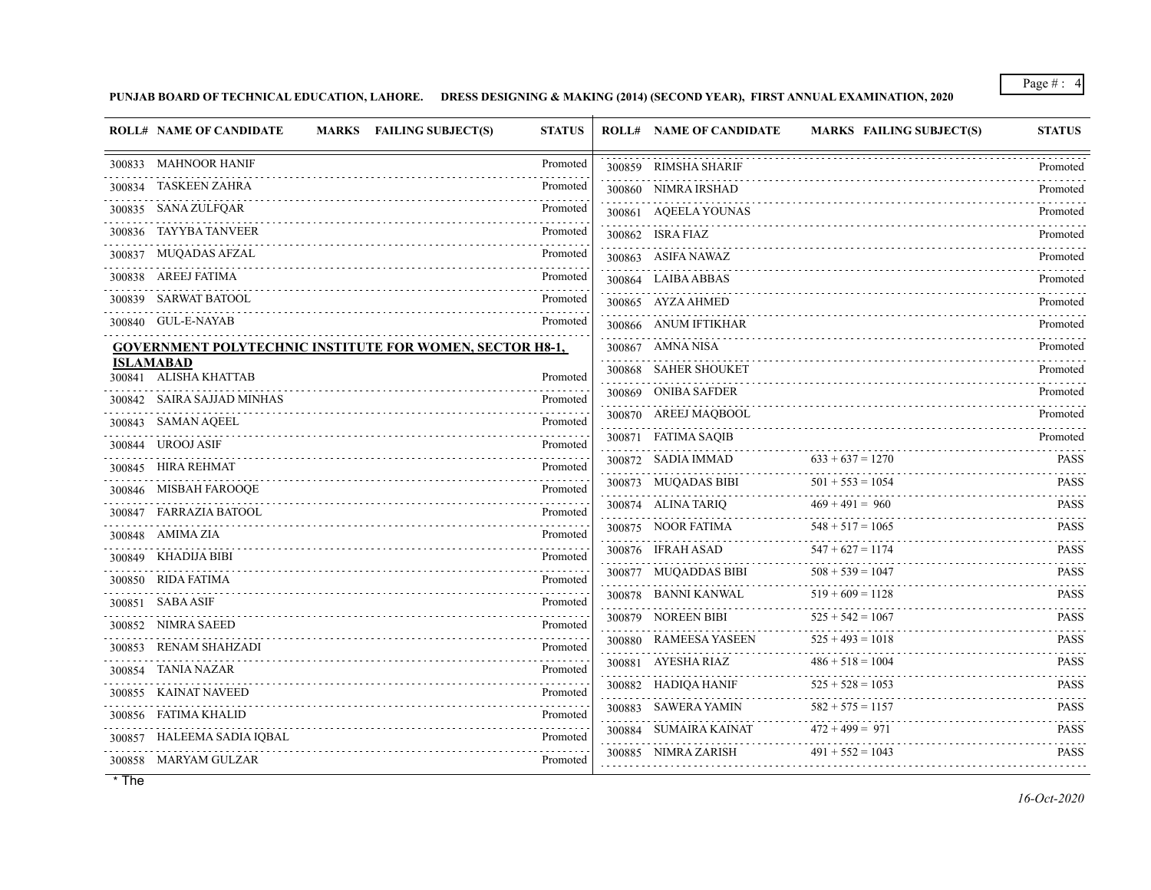**PUNJAB BOARD OF TECHNICAL EDUCATION, LAHORE. DRESS DESIGNING & MAKING (2014) (SECOND YEAR), FIRST ANNUAL EXAMINATION, 2020**

| <b>ROLL# NAME OF CANDIDATE</b>            | MARKS FAILING SUBJECT(S)                                        | <b>STATUS</b> | <b>ROLL# NAME OF CANDIDATE</b> | <b>MARKS FAILING SUBJECT(S)</b> | <b>STATUS</b>            |
|-------------------------------------------|-----------------------------------------------------------------|---------------|--------------------------------|---------------------------------|--------------------------|
| 300833 MAHNOOR HANIF                      |                                                                 | Promoted      | 300859 RIMSHA SHARIF           |                                 | Promoted                 |
| TASKEEN ZAHRA<br>300834                   |                                                                 | Promoted      | 300860 NIMRA IRSHAD            |                                 | Promoted                 |
| 300835 SANA ZULFQAR                       |                                                                 | Promoted      | 300861 AQEELA YOUNAS           |                                 | Promoted                 |
| 300836 TAYYBA TANVEER                     |                                                                 | Promoted      | 300862 ISRA FIAZ               |                                 | Promoted                 |
| 300837 MUQADAS AFZAL                      |                                                                 | Promoted      | 300863 ASIFA NAWAZ             |                                 | Promoted                 |
| 300838 AREEJ FATIMA                       |                                                                 | Promoted      | 300864 LAIBA ABBAS             |                                 | Promoted                 |
| 300839 SARWAT BATOOL                      |                                                                 | Promoted      | 300865 AYZA AHMED              |                                 | Promoted                 |
| 300840 GUL-E-NAYAB                        |                                                                 | Promoted      | 300866 ANUM IFTIKHAR           |                                 | Promoted                 |
|                                           | <b>GOVERNMENT POLYTECHNIC INSTITUTE FOR WOMEN, SECTOR H8-1,</b> |               | 300867 AMNA NISA               |                                 | Promoted                 |
| <b>ISLAMABAD</b><br>300841 ALISHA KHATTAB |                                                                 | Promoted      | 300868 SAHER SHOUKET           |                                 | Promoted                 |
| 300842 SAIRA SAJJAD MINHAS                |                                                                 | Promoted      | 300869 ONIBA SAFDER<br>.       |                                 | Promoted                 |
| SAMAN AQEEL<br>300843                     |                                                                 | Promoted      | 300870 AREEJ MAQBOOL           |                                 | Promoted                 |
| 300844 UROOJ ASIF                         |                                                                 | .<br>Promoted | 300871 FATIMA SAOIB            |                                 | Promoted                 |
| 300845 HIRA REHMAT                        |                                                                 | Promoted      | 300872 SADIA IMMAD             | $633 + 637 = 1270$              | <b>PASS</b>              |
| 300846 MISBAH FAROOQE                     |                                                                 | Promoted      | 300873 MUQADAS BIBI            | $501 + 553 = 1054$              | <b>PASS</b>              |
| 300847 FARRAZIA BATOOL                    |                                                                 | Promoted      | 300874 ALINA TARIO             | $469 + 491 = 960$               | <b>PASS</b>              |
| 300848 AMIMAZIA                           |                                                                 | Promoted      | 300875 NOOR FATIMA             | $548 + 517 = 1065$              | <b>PASS</b>              |
| 300849 KHADIJA BIBI                       |                                                                 | Promoted      | 300876 IFRAH ASAD              | $547 + 627 = 1174$<br>.         | <b>PASS</b><br>1.1.1.1.1 |
| 300850 RIDA FATIMA                        |                                                                 | Promoted      | 300877 MUQADDAS BIBI           | $508 + 539 = 1047$              | <b>PASS</b>              |
| 300851 SABA ASIF                          |                                                                 | Promoted      | 300878 BANNI KANWAL            | $519 + 609 = 1128$              | <b>PASS</b>              |
| 300852 NIMRA SAEED                        |                                                                 | Promoted      | 300879 NOREEN BIBI             | $525 + 542 = 1067$              | <b>PASS</b>              |
| RENAM SHAHZADI<br>300853                  |                                                                 | Promoted      | 300880 RAMEESA YASEEN          | $525 + 493 = 1018$              | <b>PASS</b>              |
| TANIA NAZAR<br>300854                     |                                                                 | Promoted      | 300881 AYESHA RIAZ             | $486 + 518 = 1004$              | <b>PASS</b>              |
| 300855 KAINAT NAVEED                      |                                                                 | Promoted      | 300882 HADIQA HANIF            | $525 + 528 = 1053$              | <b>PASS</b>              |
| 300856 FATIMA KHALID                      |                                                                 | Promoted      | 300883 SAWERA YAMIN            | $582 + 575 = 1157$              | <b>PASS</b>              |
| 300857 HALEEMA SADIA IQBAL                |                                                                 | Promoted      | 300884 SUMAIRA KAINAT          | $472 + 499 = 971$               | <b>PASS</b>              |
| 300858 MARYAM GULZAR                      |                                                                 | Promoted      | 300885 NIMRA ZARISH            | $491 + 552 = 1043$              | <b>PASS</b>              |
|                                           |                                                                 |               |                                |                                 |                          |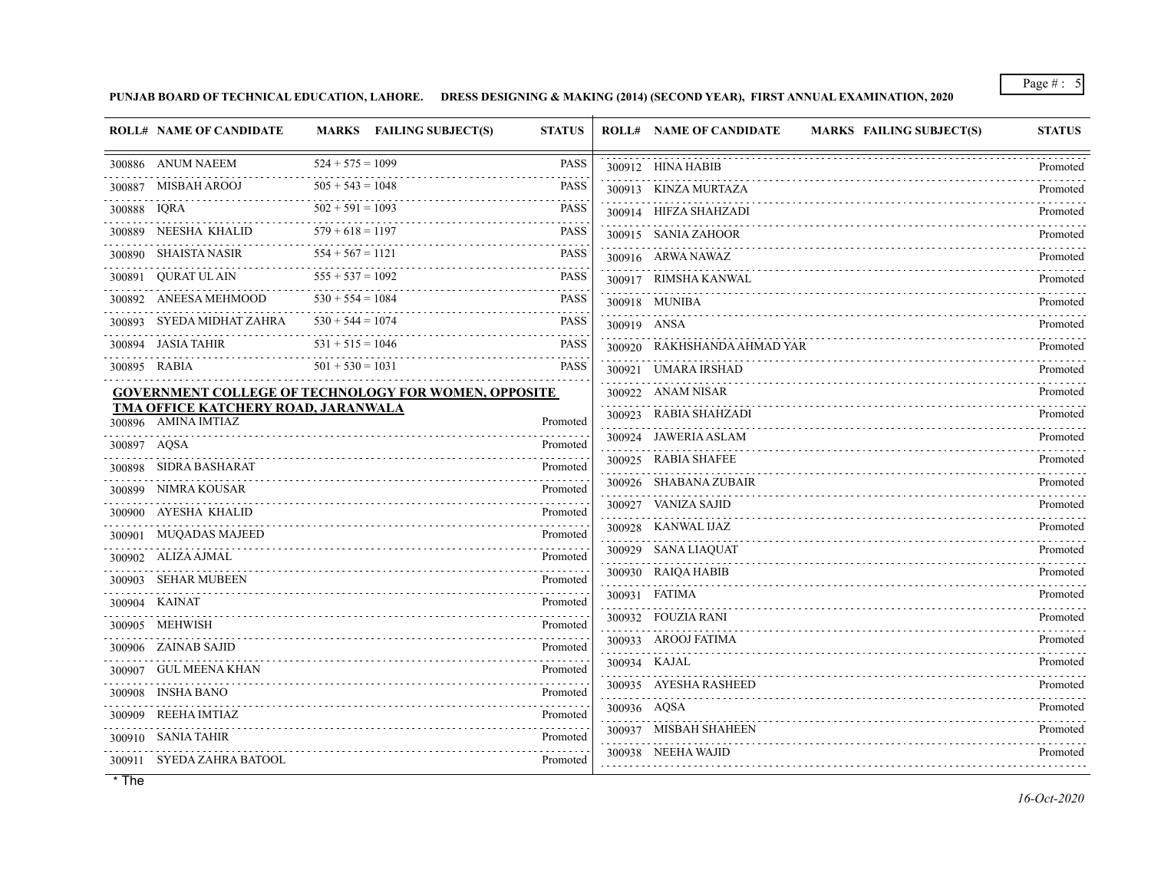**PUNJAB BOARD OF TECHNICAL EDUCATION, LAHORE. DRESS DESIGNING & MAKING (2014) (SECOND YEAR), FIRST ANNUAL EXAMINATION, 2020**

|              | <b>ROLL# NAME OF CANDIDATE</b>                                    | MARKS FAILING SUBJECT(S)                                    | <b>STATUS</b> |                  | <b>ROLL# NAME OF CANDIDATE</b><br><b>MARKS FAILING SUBJECT(S)</b> | <b>STATUS</b> |
|--------------|-------------------------------------------------------------------|-------------------------------------------------------------|---------------|------------------|-------------------------------------------------------------------|---------------|
|              | 300886 ANUM NAEEM                                                 | $524 + 575 = 1099$                                          | <b>PASS</b>   |                  | 300912 HINA HABIB                                                 | Promoted      |
|              | 300887 MISBAH AROOJ                                               | $505 + 543 = 1048$                                          | <b>PASS</b>   |                  | 300913 KINZA MURTAZA                                              | .<br>Promoted |
| 300888 IQRA  |                                                                   | $502 + 591 = 1093$                                          | <b>PASS</b>   |                  | 300914 HIFZA SHAHZADI                                             | Promoted      |
|              | 300889 NEESHA KHALID                                              | $579 + 618 = 1197$                                          | <b>PASS</b>   |                  | 300915 SANIA ZAHOOR                                               | Promoted      |
|              | 300890 SHAISTA NASIR                                              | $554 + 567 = 1121$                                          | <b>PASS</b>   |                  | 300916 ARWA NAWAZ                                                 | .<br>Promoted |
|              | 300891 QURAT UL AIN                                               | $555 + 537 = 1092$                                          | <b>PASS</b>   |                  | 300917 RIMSHA KANWAL                                              | Promoted      |
|              | 300892 ANEESA MEHMOOD                                             | $530 + 554 = 1084$                                          | <b>PASS</b>   |                  | 300918 MUNIBA                                                     | Promoted      |
|              | 300893 SYEDA MIDHAT ZAHRA                                         | $530 + 544 = 1074$                                          | <b>PASS</b>   | 300919 ANSA      |                                                                   | Promoted      |
|              | 300894 JASIA TAHIR                                                | $531 + 515 = 1046$                                          | <b>PASS</b>   |                  | 300920 RAKHSHANDA AHMAD YAR                                       | Promoted      |
| 300895 RABIA |                                                                   | $501 + 530 = 1031$                                          | <b>PASS</b>   |                  | 300921 UMARA IRSHAD                                               | Promoted      |
|              |                                                                   | <b>GOVERNMENT COLLEGE OF TECHNOLOGY FOR WOMEN, OPPOSITE</b> |               |                  | 300922 ANAM NISAR                                                 | Promoted      |
|              | <b>TMA OFFICE KATCHERY ROAD, JARANWALA</b><br>300896 AMINA IMTIAZ |                                                             | Promoted      |                  | 300923 RABIA SHAHZADI                                             | .<br>Promoted |
| 300897 AQSA  |                                                                   |                                                             | Promoted      |                  | 300924 JAWERIA ASLAM                                              | Promoted      |
|              | 300898 SIDRA BASHARAT                                             |                                                             | Promoted      |                  | 300925 RABIA SHAFEE                                               | Promoted      |
|              | 300899 NIMRA KOUSAR                                               |                                                             | Promoted      |                  | 300926 SHABANA ZUBAIR                                             | Promoted      |
|              | 300900 AYESHA KHALID                                              |                                                             | Promoted      |                  | 300927 VANIZA SAJID                                               | Promoted      |
|              | 300901 MUQADAS MAJEED                                             |                                                             | Promoted      |                  | 300928 KANWAL IJAZ                                                | Promoted      |
|              | 300902 ALIZA AJMAL                                                |                                                             | Promoted      |                  | 300929 SANA LIAQUAT                                               | Promoted<br>. |
|              | SEHAR MUBEEN                                                      |                                                             | Promoted      |                  | 300930 RAIQA HABIB                                                | Promoted      |
|              | 300904 KAINAT                                                     |                                                             | .<br>Promoted |                  | 300931 FATIMA                                                     | Promoted      |
|              | 300905 MEHWISH                                                    |                                                             | Promoted      |                  | 300932 FOUZIA RANI                                                | Promoted      |
|              | 300906 ZAINAB SAJID                                               |                                                             | Promoted      |                  | 300933 AROOJ FATIMA                                               | Promoted      |
|              | 300907 GUL MEENA KHAN                                             |                                                             | Promoted      |                  | 300934 KAJAL                                                      | Promoted      |
|              | 300908 INSHA BANO                                                 |                                                             | Promoted      |                  | 300935 AYESHA RASHEED<br>.                                        | Promoted      |
|              | 300909 REEHA IMTIAZ                                               |                                                             | Promoted      | 300936 AQSA<br>. |                                                                   | Promoted      |
|              | 300910 SANIA TAHIR                                                |                                                             | Promoted      |                  | 300937 MISBAH SHAHEEN                                             | Promoted      |
|              | 300911 SYEDA ZAHRA BATOOL                                         |                                                             | Promoted      |                  | 300938 NEEHA WAJID                                                | Promoted      |
|              |                                                                   |                                                             |               |                  |                                                                   |               |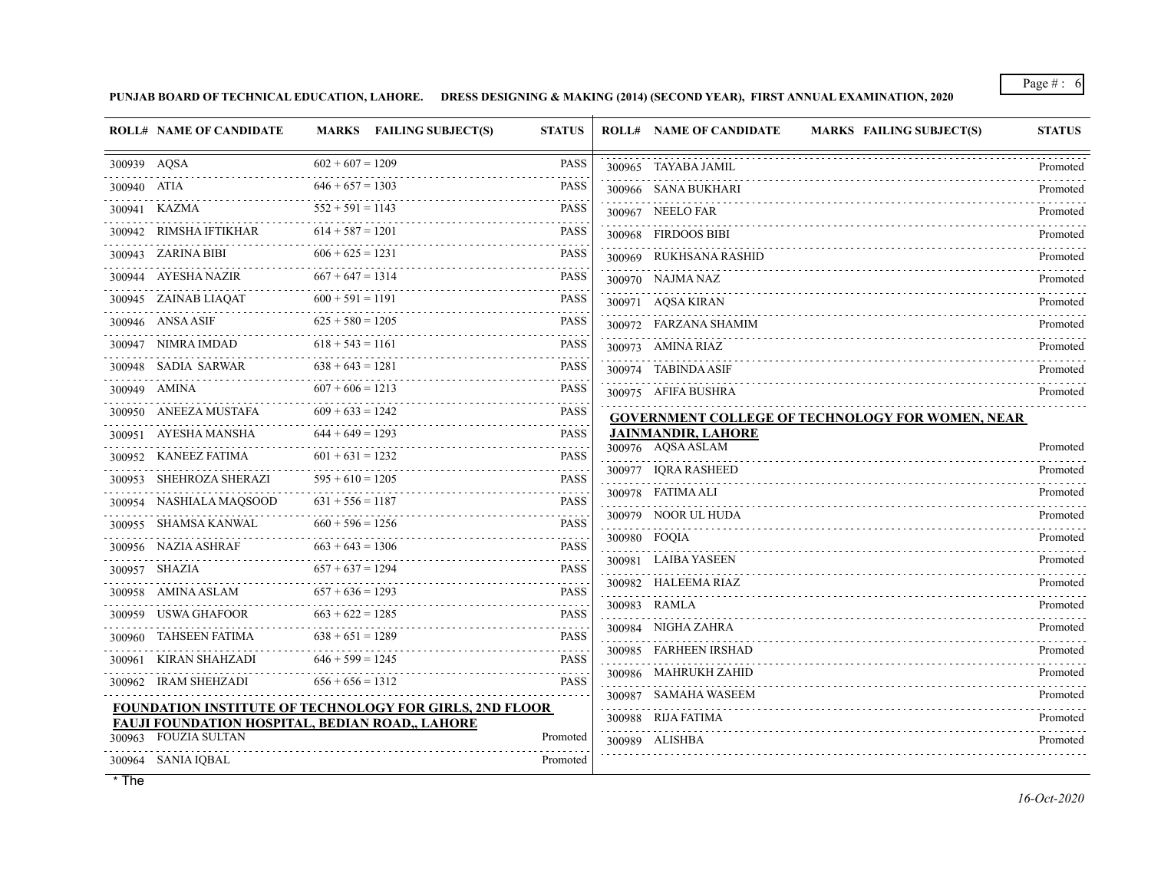**PUNJAB BOARD OF TECHNICAL EDUCATION, LAHORE. DRESS DESIGNING & MAKING (2014) (SECOND YEAR), FIRST ANNUAL EXAMINATION, 2020**

|              | <b>ROLL# NAME OF CANDIDATE</b>                                          |                    | MARKS FAILING SUBJECT(S) | <b>STATUS</b>    | <b>ROLL# NAME OF CANDIDATE</b>                 | <b>MARKS FAILING SUBJECT(S)</b>                         | <b>STATUS</b>               |
|--------------|-------------------------------------------------------------------------|--------------------|--------------------------|------------------|------------------------------------------------|---------------------------------------------------------|-----------------------------|
| 300939 AQSA  |                                                                         | $602 + 607 = 1209$ |                          | <b>PASS</b>      | 300965 TAYABA JAMIL                            |                                                         | Promoted                    |
| 300940 ATIA  |                                                                         | $646 + 657 = 1303$ |                          | <b>PASS</b>      | 300966 SANA BUKHARI                            |                                                         | Promoted                    |
|              | 300941 KAZMA                                                            | $552 + 591 = 1143$ |                          | <b>PASS</b>      | 300967 NEELO FAR                               |                                                         | Promoted                    |
|              | 300942 RIMSHA IFTIKHAR                                                  | $614 + 587 = 1201$ |                          | <b>PASS</b>      | 300968 FIRDOOS BIBI                            |                                                         | Promoted                    |
|              | 300943 ZARINA BIBI                                                      | $606 + 625 = 1231$ |                          | <b>PASS</b>      | 300969 RUKHSANA RASHID                         |                                                         | Promoted                    |
|              | 300944 AYESHA NAZIR                                                     | $667 + 647 = 1314$ |                          | <b>PASS</b>      | 300970 NAJMA NAZ                               |                                                         | Promoted                    |
|              | 300945 ZAINAB LIAQAT                                                    | $600 + 591 = 1191$ |                          | <b>PASS</b>      | 300971 AQSA KIRAN                              |                                                         | Promoted                    |
|              | 300946 ANSA ASIF                                                        | $625 + 580 = 1205$ |                          | <b>PASS</b>      | 300972 FARZANA SHAMIM                          |                                                         | Promoted                    |
|              | 300947 NIMRA IMDAD                                                      | $618 + 543 = 1161$ |                          | <b>PASS</b>      | 300973 AMINA RIAZ                              |                                                         | Promoted                    |
|              | 300948 SADIA SARWAR                                                     | $638 + 643 = 1281$ |                          | <b>PASS</b>      | 300974 TABINDA ASIF                            |                                                         | Promoted                    |
| 300949 AMINA |                                                                         | $607 + 606 = 1213$ |                          | <b>PASS</b>      | 300975 AFIFA BUSHRA                            |                                                         | Promoted                    |
|              | 300950 ANEEZA MUSTAFA                                                   | $609 + 633 = 1242$ |                          | <b>PASS</b>      |                                                | <b>GOVERNMENT COLLEGE OF TECHNOLOGY FOR WOMEN, NEAR</b> |                             |
|              | 300951 AYESHA MANSHA                                                    | $644 + 649 = 1293$ |                          | <b>PASS</b>      | <b>JAINMANDIR, LAHORE</b><br>300976 AQSA ASLAM |                                                         | Promoted                    |
|              | 300952 KANEEZ FATIMA                                                    | $601 + 631 = 1232$ |                          | <b>PASS</b>      | 300977 IORA RASHEED                            |                                                         | Promoted                    |
| 300953       | SHEHROZA SHERAZI                                                        | $595 + 610 = 1205$ |                          | <b>PASS</b>      | 300978 FATIMA ALI                              |                                                         | Promoted                    |
|              | 300954 NASHIALA MAQSOOD                                                 | $631 + 556 = 1187$ |                          | <b>PASS</b>      | 300979 NOOR UL HUDA                            |                                                         | Promoted                    |
|              | 300955 SHAMSA KANWAL                                                    | $660 + 596 = 1256$ |                          | <b>PASS</b>      | 300980 FOQIA                                   |                                                         | Promoted                    |
|              | 300956 NAZIA ASHRAF                                                     | $663 + 643 = 1306$ |                          | <b>PASS</b>      | 300981 LAIBA YASEEN                            |                                                         | Promoted                    |
|              | 300957 SHAZIA                                                           | $657 + 637 = 1294$ |                          | <b>PASS</b>      | 300982 HALEEMA RIAZ                            |                                                         | Promoted                    |
|              | 300958 AMINA ASLAM                                                      | $657 + 636 = 1293$ |                          | <b>PASS</b>      | 300983 RAMLA                                   |                                                         | 1.1.1.1.1.1.1.1<br>Promoted |
|              | 300959 USWA GHAFOOR                                                     | $663 + 622 = 1285$ |                          | <b>PASS</b>      | 300984 NIGHA ZAHRA                             |                                                         | Promoted                    |
|              | 300960 TAHSEEN FATIMA                                                   | $638 + 651 = 1289$ |                          | <b>PASS</b>      | 300985 FARHEEN IRSHAD                          |                                                         |                             |
|              | 300961 KIRAN SHAHZADI                                                   | $646 + 599 = 1245$ |                          | <b>PASS</b>      |                                                |                                                         | Promoted                    |
|              | 300962 IRAM SHEHZADI                                                    | $656 + 656 = 1312$ |                          | <b>PASS</b><br>. | 300986 MAHRUKH ZAHID                           |                                                         | Promoted                    |
|              | FOUNDATION INSTITUTE OF TECHNOLOGY FOR GIRLS, 2ND FLOOR                 |                    |                          |                  | 300987 SAMAHA WASEEM<br>300988 RIJA FATIMA     |                                                         | Promoted                    |
| 300963       | FAUJI FOUNDATION HOSPITAL, BEDIAN ROAD,, LAHORE<br><b>FOUZIA SULTAN</b> |                    |                          | Promoted         | 300989 ALISHBA                                 |                                                         | Promoted                    |
|              | 300964 SANIA IQBAL                                                      |                    |                          | Promoted         |                                                |                                                         | Promoted                    |
|              |                                                                         |                    |                          |                  |                                                |                                                         |                             |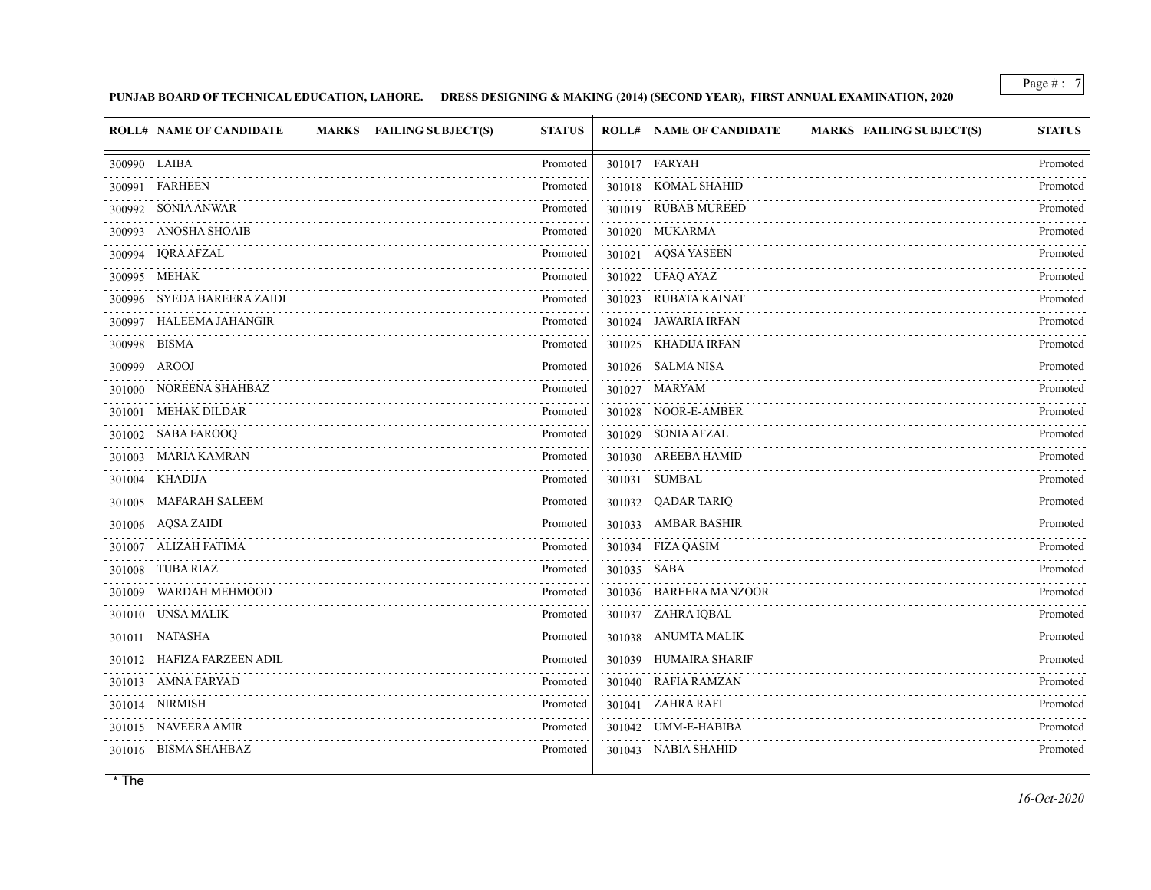## **PUNJAB BOARD OF TECHNICAL EDUCATION, LAHORE. DRESS DESIGNING & MAKING (2014) (SECOND YEAR), FIRST ANNUAL EXAMINATION, 2020**

| <b>ROLL# NAME OF CANDIDATE</b><br>MARKS FAILING SUBJECT(S) | <b>STATUS</b> |             | <b>ROLL# NAME OF CANDIDATE</b><br><b>MARKS FAILING SUBJECT(S)</b> | <b>STATUS</b> |
|------------------------------------------------------------|---------------|-------------|-------------------------------------------------------------------|---------------|
| 300990 LAIBA                                               | Promoted      |             | 301017 FARYAH                                                     | Promoted      |
| 300991 FARHEEN                                             | Promoted      |             | 301018 KOMAL SHAHID                                               | Promoted      |
| 300992 SONIA ANWAR                                         | Promoted      |             | 301019 RUBAB MUREED                                               | Promoted      |
| 300993 ANOSHA SHOAIB                                       | Promoted      |             | 301020 MUKARMA                                                    | Promoted      |
| 300994 IQRA AFZAL                                          | Promoted      |             | 301021 AQSA YASEEN                                                | Promoted      |
| 300995 MEHAK                                               | Promoted      |             | 301022 UFAQ AYAZ                                                  | Promoted      |
| 300996 SYEDA BAREERA ZAIDI                                 | Promoted      |             | 301023 RUBATA KAINAT                                              | Promoted      |
| 300997 HALEEMA JAHANGIR<br>.                               | Promoted      |             | 301024 JAWARIA IRFAN                                              | Promoted      |
| 300998 BISMA                                               | Promoted      |             | 301025 KHADIJA IRFAN                                              | Promoted      |
| 300999 AROOJ                                               | Promoted      |             | 301026 SALMA NISA                                                 | Promoted      |
| 301000 NOREENA SHAHBAZ                                     | Promoted      |             | 301027 MARYAM                                                     | Promoted      |
| 301001 MEHAK DILDAR                                        | Promoted      |             | 301028 NOOR-E-AMBER                                               | Promoted      |
| 301002 SABA FAROOQ                                         | Promoted<br>. |             | 301029 SONIA AFZAL                                                | Promoted      |
| 301003 MARIA KAMRAN                                        | Promoted      |             | 301030 AREEBA HAMID                                               | Promoted      |
| 301004 KHADIJA                                             | Promoted      |             | 301031 SUMBAL                                                     | Promoted<br>. |
| 301005 MAFARAH SALEEM                                      | Promoted      |             | 301032 QADAR TARIQ                                                | Promoted      |
| 301006 AQSAZAIDI                                           | Promoted      |             | 301033 AMBAR BASHIR                                               | Promoted      |
| 301007 ALIZAH FATIMA                                       | Promoted      |             | 301034 FIZA QASIM                                                 | Promoted      |
| 301008 TUBA RIAZ                                           | Promoted      | 301035 SABA |                                                                   | Promoted      |
| 301009 WARDAH MEHMOOD                                      | Promoted      |             | 301036 BAREERA MANZOOR                                            | Promoted      |
| 301010 UNSA MALIK                                          | Promoted      |             | 301037 ZAHRA IQBAL                                                | Promoted      |
| 301011 NATASHA                                             | Promoted<br>. |             | 301038 ANUMTA MALIK                                               | Promoted      |
| 301012 HAFIZA FARZEEN ADIL                                 | Promoted      |             | 301039 HUMAIRA SHARIF                                             | Promoted      |
| 301013 AMNA FARYAD                                         | Promoted      |             | 301040 RAFIA RAMZAN                                               | Promoted      |
| 301014 NIRMISH                                             | Promoted      |             | 301041 ZAHRA RAFI                                                 | Promoted      |
| 301015 NAVEERA AMIR                                        | Promoted      |             | 301042 UMM-E-HABIBA                                               | Promoted      |
| 301016 BISMA SHAHBAZ                                       | Promoted      |             | 301043 NABIA SHAHID                                               | Promoted      |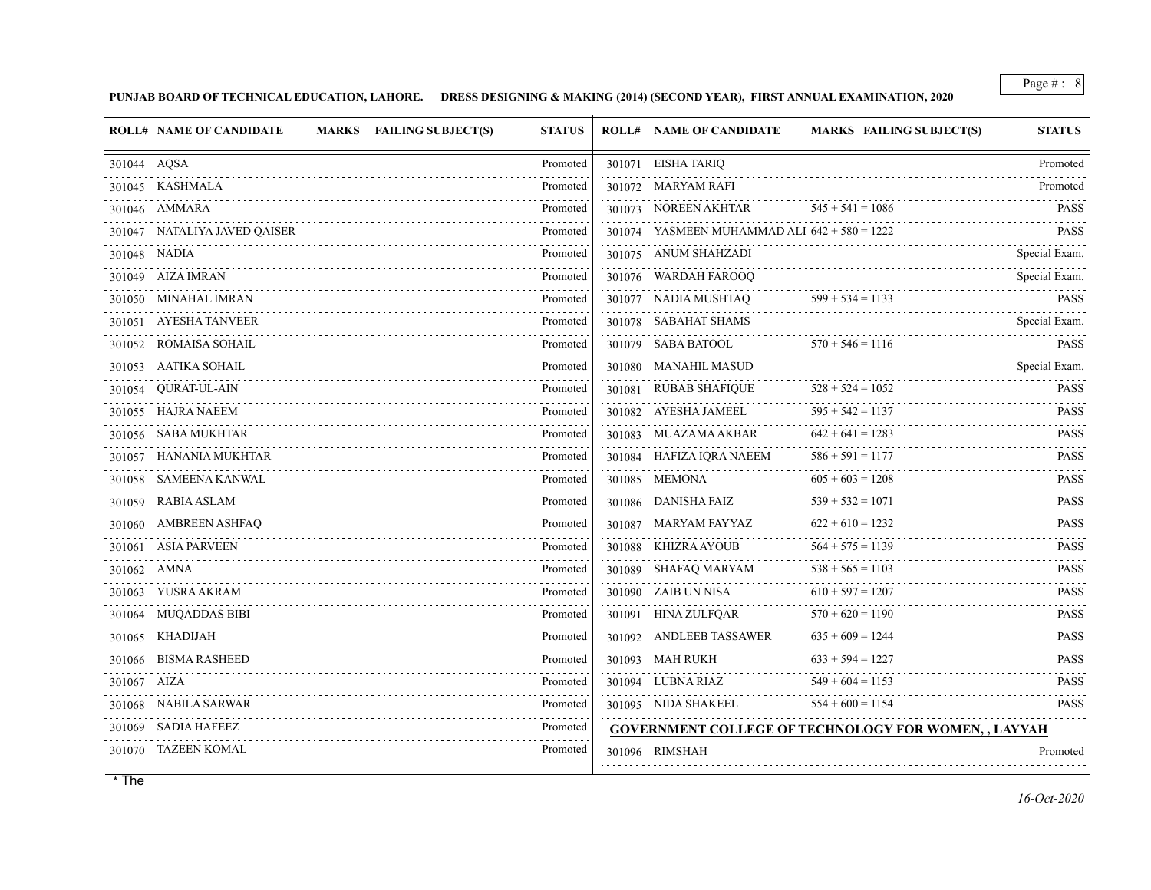**PUNJAB BOARD OF TECHNICAL EDUCATION, LAHORE. DRESS DESIGNING & MAKING (2014) (SECOND YEAR), FIRST ANNUAL EXAMINATION, 2020**

| <b>ROLL# NAME OF CANDIDATE</b><br>MARKS FAILING SUBJECT(S) | <b>STATUS</b> | <b>ROLL# NAME OF CANDIDATE</b> |                                                | <b>MARKS FAILING SUBJECT(S)</b>                             | <b>STATUS</b>           |
|------------------------------------------------------------|---------------|--------------------------------|------------------------------------------------|-------------------------------------------------------------|-------------------------|
| 301044 AQSA<br>.                                           | Promoted      | 301071 EISHA TARIQ             |                                                |                                                             | Promoted                |
| 301045 KASHMALA                                            | Promoted      | 301072 MARYAM RAFI             |                                                |                                                             | Promoted                |
| 301046 AMMARA                                              | Promoted      | 301073 NOREEN AKHTAR           |                                                | $545 + 541 = 1086$                                          | <b>PASS</b>             |
| 301047 NATALIYA JAVED QAISER                               | Promoted      |                                | 301074 YASMEEN MUHAMMAD ALI $642 + 580 = 1222$ |                                                             | <b>PASS</b>             |
| 301048 NADIA                                               | Promoted      | 301075 ANUM SHAHZADI           |                                                |                                                             | Special Exam.           |
| 301049 AIZA IMRAN                                          | Promoted      | 301076 WARDAH FAROOO           |                                                |                                                             | Special Exam.           |
| 301050 MINAHAL IMRAN                                       | Promoted      | 301077 NADIA MUSHTAQ           |                                                | $599 + 534 = 1133$                                          | <b>PASS</b>             |
| 301051 AYESHA TANVEER                                      | Promoted      | 301078 SABAHAT SHAMS           |                                                |                                                             | Special Exam.           |
| 301052 ROMAISA SOHAIL                                      | Promoted      | 301079 SABA BATOOL             |                                                | $570 + 546 = 1116$                                          | <b>PASS</b>             |
| 301053 AATIKA SOHAIL                                       | Promoted      | 301080 MANAHIL MASUD           |                                                |                                                             | Special Exam.           |
| 301054 QURAT-UL-AIN                                        | Promoted      | 301081 RUBAB SHAFIQUE          |                                                | $528 + 524 = 1052$                                          | <b>PASS</b>             |
| 301055 HAJRA NAEEM                                         | Promoted      | 301082 AYESHA JAMEEL           |                                                | $595 + 542 = 1137$                                          | <b>PASS</b>             |
| 301056 SABA MUKHTAR                                        | Promoted      | 301083 MUAZAMA AKBAR           |                                                | $642 + 641 = 1283$                                          | <b>PASS</b>             |
| 301057 HANANIA MUKHTAR                                     | Promoted      | 301084 HAFIZA IORA NAEEM       |                                                | $586 + 591 = 1177$                                          | <b>PASS</b>             |
| 301058 SAMEENA KANWAL                                      | Promoted      | 301085 MEMONA                  |                                                | $605 + 603 = 1208$                                          | <b>PASS</b><br><u>.</u> |
| 301059 RABIA ASLAM                                         | Promoted      | 301086 DANISHA FAIZ            |                                                | $539 + 532 = 1071$                                          | <b>PASS</b>             |
| 301060 AMBREEN ASHFAQ                                      | Promoted      | 301087 MARYAM FAYYAZ           |                                                | $622 + 610 = 1232$                                          | <b>PASS</b>             |
| 301061 ASIA PARVEEN                                        | Promoted      | 301088 KHIZRA AYOUB            |                                                | $564 + 575 = 1139$                                          | <b>PASS</b>             |
| 301062 AMNA                                                | Promoted      | 301089 SHAFAQ MARYAM           |                                                | $538 + 565 = 1103$                                          | <b>PASS</b>             |
| 301063 YUSRA AKRAM                                         | Promoted      | 301090 ZAIB UN NISA            |                                                | $610 + 597 = 1207$                                          | <b>PASS</b>             |
| 301064 MUQADDAS BIBI                                       | Promoted      | 301091 HINA ZULFQAR            |                                                | $570 + 620 = 1190$                                          | <b>PASS</b>             |
| 301065 KHADIJAH                                            | Promoted      | 301092 ANDLEEB TASSAWER        |                                                | $635 + 609 = 1244$                                          | <b>PASS</b>             |
| 301066 BISMA RASHEED                                       | Promoted      | 301093 MAH RUKH                |                                                | $633 + 594 = 1227$                                          | <b>PASS</b><br><u>.</u> |
| 301067 AIZA                                                | Promoted      | 301094 LUBNA RIAZ              |                                                | $549 + 604 = 1153$                                          | <b>PASS</b>             |
| 301068 NABILA SARWAR                                       | Promoted      |                                | 301095 NIDA SHAKEEL                            | $554 + 600 = 1154$                                          | <b>PASS</b>             |
| 301069 SADIA HAFEEZ                                        | Promoted      |                                |                                                | <b>GOVERNMENT COLLEGE OF TECHNOLOGY FOR WOMEN, , LAYYAH</b> |                         |
| 301070 TAZEEN KOMAL                                        | Promoted      | 301096 RIMSHAH                 |                                                |                                                             | Promoted                |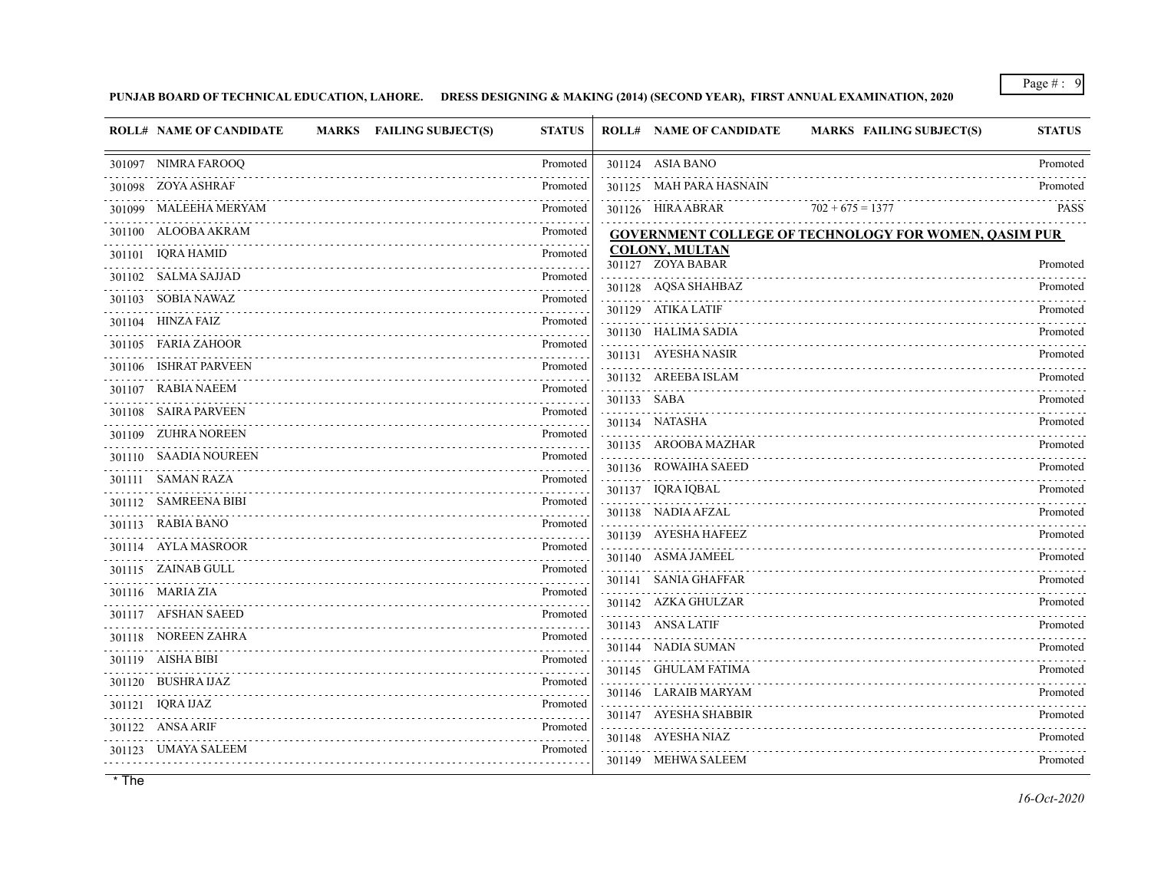**PUNJAB BOARD OF TECHNICAL EDUCATION, LAHORE. DRESS DESIGNING & MAKING (2014) (SECOND YEAR), FIRST ANNUAL EXAMINATION, 2020**

|        | <b>ROLL# NAME OF CANDIDATE</b><br>MARKS FAILING SUBJECT(S) | <b>STATUS</b> |             | <b>ROLL# NAME OF CANDIDATE</b>             | MARKS FAILING SUBJECT(S)                                     | <b>STATUS</b>                                                |
|--------|------------------------------------------------------------|---------------|-------------|--------------------------------------------|--------------------------------------------------------------|--------------------------------------------------------------|
|        | 301097 NIMRA FAROOQ                                        | Promoted      |             | 301124 ASIA BANO                           |                                                              | Promoted                                                     |
|        | 301098 ZOYA ASHRAF                                         | Promoted      |             | 301125 MAH PARA HASNAIN                    |                                                              | Promoted                                                     |
| 301099 | MALEEHA MERYAM                                             | Promoted      |             | 301126 HIRA ABRAR                          | $702 + 675 = 1377$                                           | $\mathbb{Z}^2$ . In the set of $\mathbb{Z}^2$<br><b>PASS</b> |
|        | 301100 ALOOBA AKRAM                                        | Promoted      |             |                                            | <b>GOVERNMENT COLLEGE OF TECHNOLOGY FOR WOMEN, QASIM PUR</b> |                                                              |
|        | 301101 IQRA HAMID                                          | Promoted      |             | <b>COLONY, MULTAN</b><br>301127 ZOYA BABAR |                                                              | Promoted                                                     |
|        | 301102 SALMA SAJJAD                                        | Promoted      |             | 301128 AQSA SHAHBAZ                        |                                                              | Promoted                                                     |
| 301103 | SOBIA NAWAZ                                                | Promoted      |             | 301129 ATIKA LATIF                         |                                                              | Promoted                                                     |
|        | 301104 HINZA FAIZ                                          | Promoted<br>. |             | 301130 HALIMA SADIA                        |                                                              | Promoted                                                     |
|        | 301105 FARIA ZAHOOR                                        | Promoted<br>. |             | 301131 AYESHA NASIR                        |                                                              | Promoted                                                     |
| 301106 | <b>ISHRAT PARVEEN</b>                                      | Promoted      |             | 301132 AREEBA ISLAM                        |                                                              | Promoted                                                     |
| 301107 | RABIA NAEEM                                                | Promoted      | 301133 SABA |                                            |                                                              | Promoted                                                     |
| 301108 | SAIRA PARVEEN                                              | Promoted      |             | 301134 NATASHA                             |                                                              | Promoted                                                     |
|        | 301109 ZUHRA NOREEN                                        | Promoted      |             | 301135 AROOBA MAZHAR                       |                                                              | Promoted                                                     |
|        | 301110 SAADIA NOUREEN                                      | Promoted      |             | 301136 ROWAIHA SAEED                       |                                                              | Promoted                                                     |
|        | 301111 SAMAN RAZA                                          | Promoted      |             | 301137 IQRA IQBAL                          |                                                              | Promoted                                                     |
|        | 301112 SAMREENA BIBI                                       | Promoted      |             | 301138 NADIA AFZAL                         |                                                              | Promoted                                                     |
|        | 301113 RABIA BANO                                          | Promoted      |             | 301139 AYESHA HAFEEZ                       |                                                              | Promoted                                                     |
|        | 301114 AYLA MASROOR                                        | Promoted<br>. |             | 301140 ASMA JAMEEL                         |                                                              | Promoted                                                     |
|        | 301115 ZAINAB GULL                                         | Promoted<br>. |             | 301141 SANIA GHAFFAR                       |                                                              | Promoted                                                     |
|        | 301116 MARIA ZIA                                           | Promoted      |             | 301142 AZKA GHULZAR                        |                                                              | Promoted                                                     |
|        | 301117 AFSHAN SAEED                                        | Promoted      | .           | 301143 ANSA LATIF                          |                                                              | Promoted                                                     |
|        | 301118 NOREEN ZAHRA                                        | Promoted      |             | 301144 NADIA SUMAN                         |                                                              | Promoted                                                     |
|        | 301119 AISHA BIBI                                          | Promoted<br>. |             | 301145 GHULAM FATIMA                       |                                                              | Promoted                                                     |
|        | 301120 BUSHRA IJAZ                                         | Promoted      |             | 301146 LARAIB MARYAM                       |                                                              | Promoted                                                     |
|        | 301121 IQRA IJAZ                                           | Promoted      |             | 301147 AYESHA SHABBIR                      |                                                              | Promoted                                                     |
|        | 301122 ANSA ARIF                                           | Promoted      |             | 301148 AYESHA NIAZ                         |                                                              | Promoted                                                     |
|        | 301123 UMAYA SALEEM                                        | Promoted      |             | 301149 MEHWA SALEEM                        |                                                              | Promoted                                                     |
|        |                                                            |               |             |                                            |                                                              |                                                              |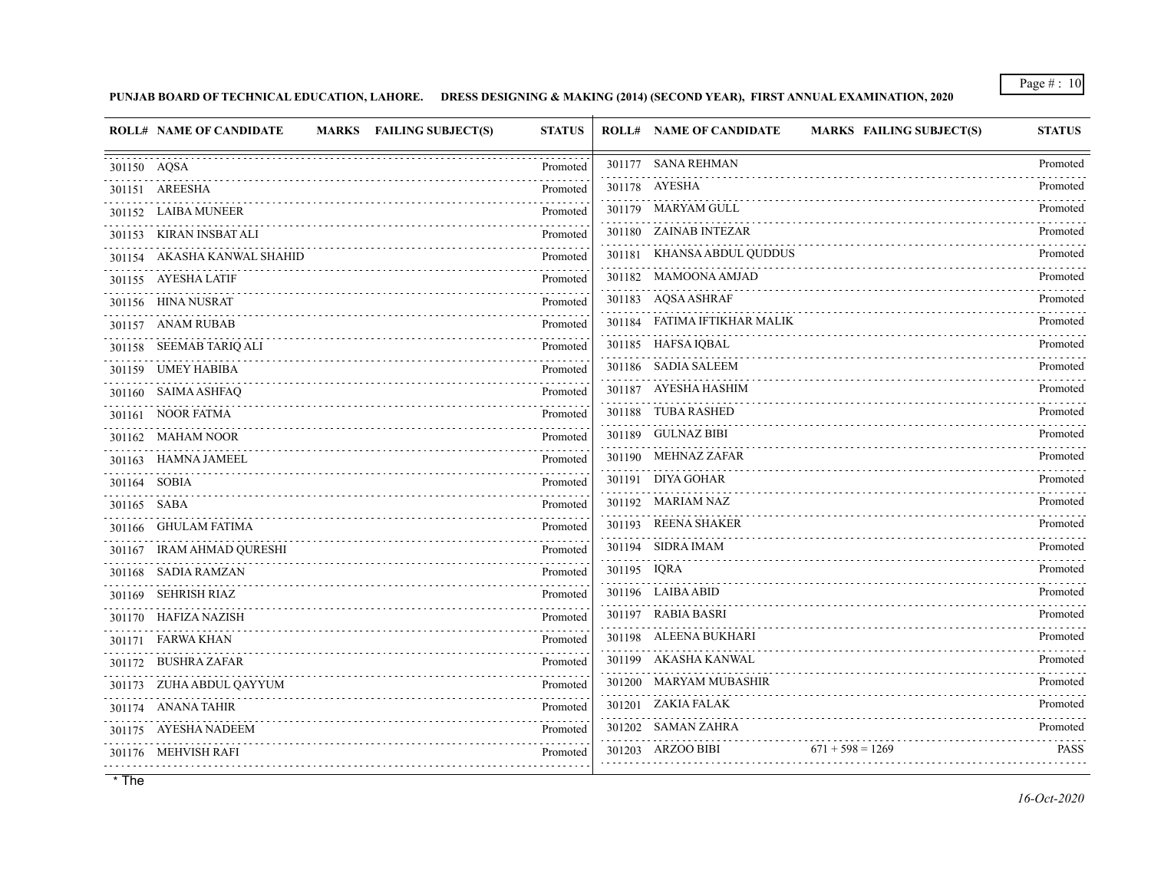## **PUNJAB BOARD OF TECHNICAL EDUCATION, LAHORE. DRESS DESIGNING & MAKING (2014) (SECOND YEAR), FIRST ANNUAL EXAMINATION, 2020**

| <b>ROLL# NAME OF CANDIDATE</b><br>MARKS FAILING SUBJECT(S) | <b>STATUS</b> | <b>ROLL# NAME OF CANDIDATE</b><br>MARKS FAILING SUBJECT(S) | <b>STATUS</b> |
|------------------------------------------------------------|---------------|------------------------------------------------------------|---------------|
| 301150 AQSA                                                | Promoted      | 301177 SANA REHMAN                                         | Promoted      |
| 301151 AREESHA                                             | Promoted      | 301178 AYESHA                                              | Promoted      |
| 301152 LAIBA MUNEER                                        | Promoted      | 301179 MARYAM GULL                                         | Promoted      |
| 301153 KIRAN INSBAT ALI                                    | Promoted      | 301180 ZAINAB INTEZAR                                      | Promoted      |
| 301154 AKASHA KANWAL SHAHID                                | Promoted      | 301181 KHANSA ABDUL QUDDUS                                 | Promoted      |
| 301155 AYESHA LATIF                                        | Promoted      | 301182 MAMOONA AMJAD                                       | Promoted      |
| 301156 HINA NUSRAT                                         | Promoted      | 301183 AQSA ASHRAF                                         | Promoted      |
| 301157 ANAM RUBAB                                          | .<br>Promoted | 301184 FATIMA IFTIKHAR MALIK                               | Promoted      |
| 301158 SEEMAB TARIQ ALI                                    | Promoted      | 301185 HAFSA IQBAL                                         | Promoted      |
| 301159 UMEY HABIBA                                         | Promoted      | 301186 SADIA SALEEM                                        | Promoted      |
| 301160 SAIMA ASHFAQ                                        | Promoted      | 301187 AYESHA HASHIM                                       | Promoted      |
| 301161 NOOR FATMA                                          | Promoted      | 301188 TUBA RASHED                                         | Promoted      |
| 301162 MAHAM NOOR                                          | Promoted      | 301189 GULNAZ BIBI                                         | Promoted      |
| 301163 HAMNA JAMEEL                                        | Promoted      | 301190 MEHNAZ ZAFAR                                        | Promoted      |
| 301164 SOBIA                                               | Promoted      | 301191 DIYA GOHAR                                          | Promoted      |
| 301165 SABA                                                | Promoted      | 301192 MARIAM NAZ                                          | Promoted      |
| 301166 GHULAM FATIMA                                       | Promoted      | 301193 REENA SHAKER                                        | Promoted      |
| 301167 IRAM AHMAD QURESHI                                  | Promoted      | 301194 SIDRA IMAM                                          | Promoted      |
| 301168 SADIA RAMZAN                                        | Promoted      | 301195 IQRA                                                | Promoted      |
| 301169 SEHRISH RIAZ                                        | Promoted      | 301196 LAIBA ABID                                          | Promoted      |
| 301170 HAFIZA NAZISH                                       | Promoted      | 301197 RABIA BASRI                                         | Promoted      |
| 301171 FARWA KHAN                                          | Promoted      | 301198 ALEENA BUKHARI                                      | Promoted      |
| 301172 BUSHRA ZAFAR                                        | Promoted      | 301199 AKASHA KANWAL                                       | Promoted      |
| 301173 ZUHA ABDUL QAYYUM                                   | Promoted      | 301200 MARYAM MUBASHIR                                     | Promoted      |
| 301174 ANANA TAHIR                                         | Promoted      | 301201 ZAKIA FALAK                                         | Promoted      |
| 301175 AYESHA NADEEM                                       | Promoted      | 301202 SAMAN ZAHRA                                         | Promoted      |
| 301176 MEHVISH RAFI                                        | Promoted      | 301203 ARZOO BIBI<br>$671 + 598 = 1269$                    | <b>PASS</b>   |
|                                                            |               |                                                            |               |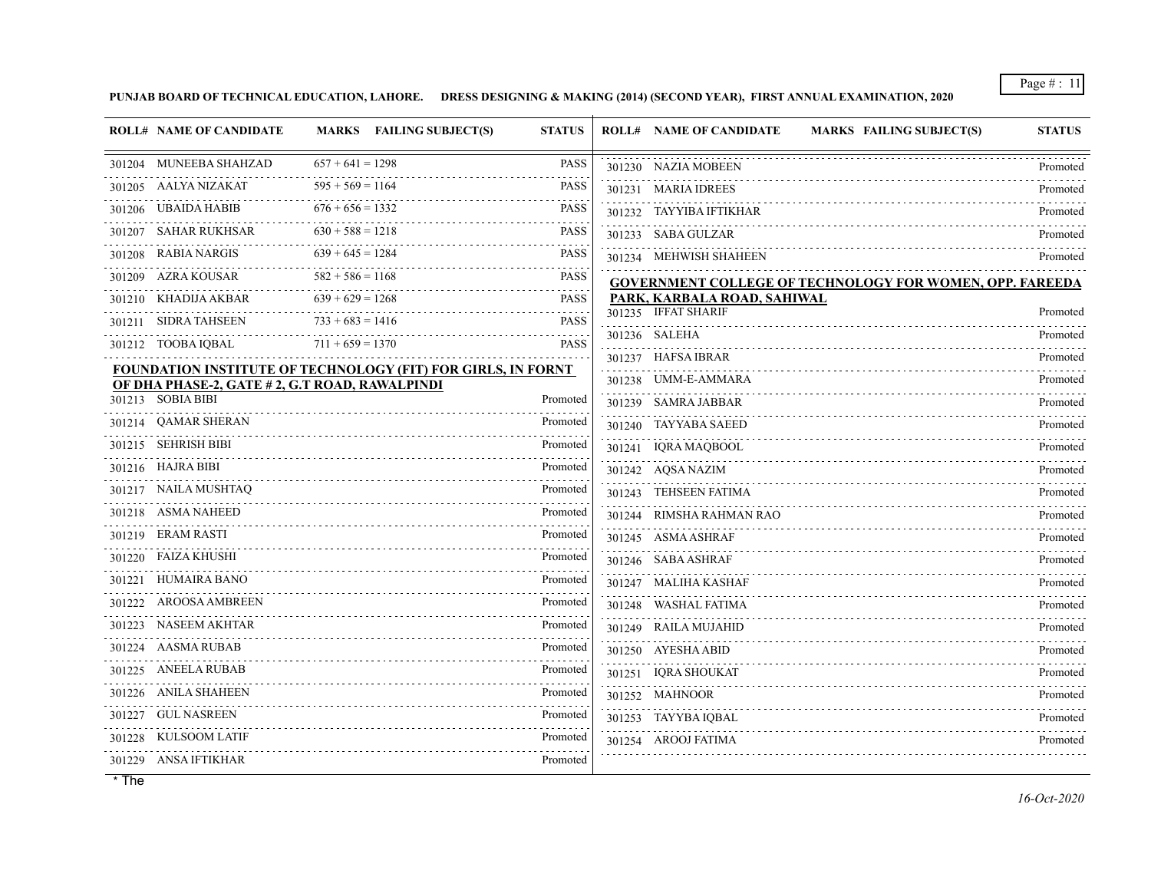**PUNJAB BOARD OF TECHNICAL EDUCATION, LAHORE. DRESS DESIGNING & MAKING (2014) (SECOND YEAR), FIRST ANNUAL EXAMINATION, 2020**

| <b>ROLL# NAME OF CANDIDATE</b>                               |                    | MARKS FAILING SUBJECT(S) | <b>STATUS</b> | <b>ROLL# NAME OF CANDIDATE</b><br><b>MARKS FAILING SUBJECT(S)</b> | <b>STATUS</b> |
|--------------------------------------------------------------|--------------------|--------------------------|---------------|-------------------------------------------------------------------|---------------|
| 301204 MUNEEBA SHAHZAD                                       | $657 + 641 = 1298$ |                          | <b>PASS</b>   | 301230 NAZIA MOBEEN                                               | Promoted      |
| 301205 AALYA NIZAKAT                                         | $595 + 569 = 1164$ |                          | <b>PASS</b>   | 301231 MARIA IDREES                                               | Promoted      |
| 301206 UBAIDA HABIB                                          | $676 + 656 = 1332$ |                          | <b>PASS</b>   | 301232 TAYYIBA IFTIKHAR                                           | Promoted      |
| 301207 SAHAR RUKHSAR                                         | $630 + 588 = 1218$ |                          | <b>PASS</b>   | 301233 SABA GULZAR                                                | Promoted      |
| 301208 RABIA NARGIS                                          | $639 + 645 = 1284$ |                          | PASS          | 301234 MEHWISH SHAHEEN                                            | Promoted      |
| 301209 AZRA KOUSAR                                           | $582 + 586 = 1168$ |                          | <b>PASS</b>   | <b>GOVERNMENT COLLEGE OF TECHNOLOGY FOR WOMEN, OPP. FAREEDA</b>   |               |
| 301210 KHADIJA AKBAR                                         | $639 + 629 = 1268$ |                          | <b>PASS</b>   | PARK, KARBALA ROAD, SAHIWAL                                       |               |
| 301211 SIDRA TAHSEEN                                         | $733 + 683 = 1416$ |                          | <b>PASS</b>   | 301235 IFFAT SHARIF                                               | Promoted      |
| 301212 TOOBA IQBAL                                           | $711 + 659 = 1370$ |                          | <b>PASS</b>   | 301236 SALEHA                                                     | Promoted      |
| FOUNDATION INSTITUTE OF TECHNOLOGY (FIT) FOR GIRLS, IN FORNT |                    |                          |               | 301237 HAFSA IBRAR                                                | Promoted      |
| OF DHA PHASE-2, GATE # 2, G.T ROAD, RAWALPINDI               |                    |                          |               | 301238 UMM-E-AMMARA                                               | Promoted      |
| 301213 SOBIA BIBI                                            |                    |                          | Promoted      | 301239 SAMRA JABBAR                                               | Promoted      |
| 301214 QAMAR SHERAN                                          |                    |                          | Promoted      | 301240 TAYYABA SAEED                                              | Promoted      |
| 301215 SEHRISH BIBI                                          |                    |                          | Promoted      | 301241 IQRA MAQBOOL                                               | Promoted      |
| 301216 HAJRA BIBI                                            |                    |                          | Promoted      | 301242 AQSA NAZIM                                                 | Promoted      |
| 301217 NAILA MUSHTAQ                                         |                    |                          | Promoted      | 301243 TEHSEEN FATIMA                                             | Promoted      |
| 301218 ASMA NAHEED                                           |                    |                          | Promoted      | 301244 RIMSHA RAHMAN RAO                                          | Promoted      |
| 301219 ERAM RASTI                                            |                    |                          | Promoted      | 301245 ASMA ASHRAF                                                | Promoted      |
| 301220 FAIZA KHUSHI                                          |                    |                          | Promoted      | 301246 SABA ASHRAF                                                | Promoted      |
| 301221 HUMAIRA BANO                                          |                    |                          | Promoted      | 301247 MALIHA KASHAF                                              | Promoted      |
| 301222 AROOSA AMBREEN                                        |                    |                          | Promoted      | 301248 WASHAL FATIMA                                              | Promoted      |
| 301223 NASEEM AKHTAR                                         |                    |                          | Promoted      | 301249 RAILA MUJAHID                                              | Promoted      |
| 301224 AASMA RUBAB                                           |                    |                          | Promoted      | 301250 AYESHA ABID                                                | Promoted      |
| 301225 ANEELA RUBAB                                          |                    |                          | Promoted      | 301251 IQRA SHOUKAT                                               | Promoted      |
| 301226 ANILA SHAHEEN                                         |                    |                          | Promoted      | 301252 MAHNOOR                                                    | Promoted      |
| 301227 GUL NASREEN                                           |                    |                          | Promoted      | 301253 TAYYBA IQBAL                                               | Promoted      |
| 301228 KULSOOM LATIF                                         |                    |                          | Promoted      | 301254 AROOJ FATIMA                                               | Promoted      |
| 301229 ANSA IFTIKHAR                                         |                    |                          | Promoted      |                                                                   |               |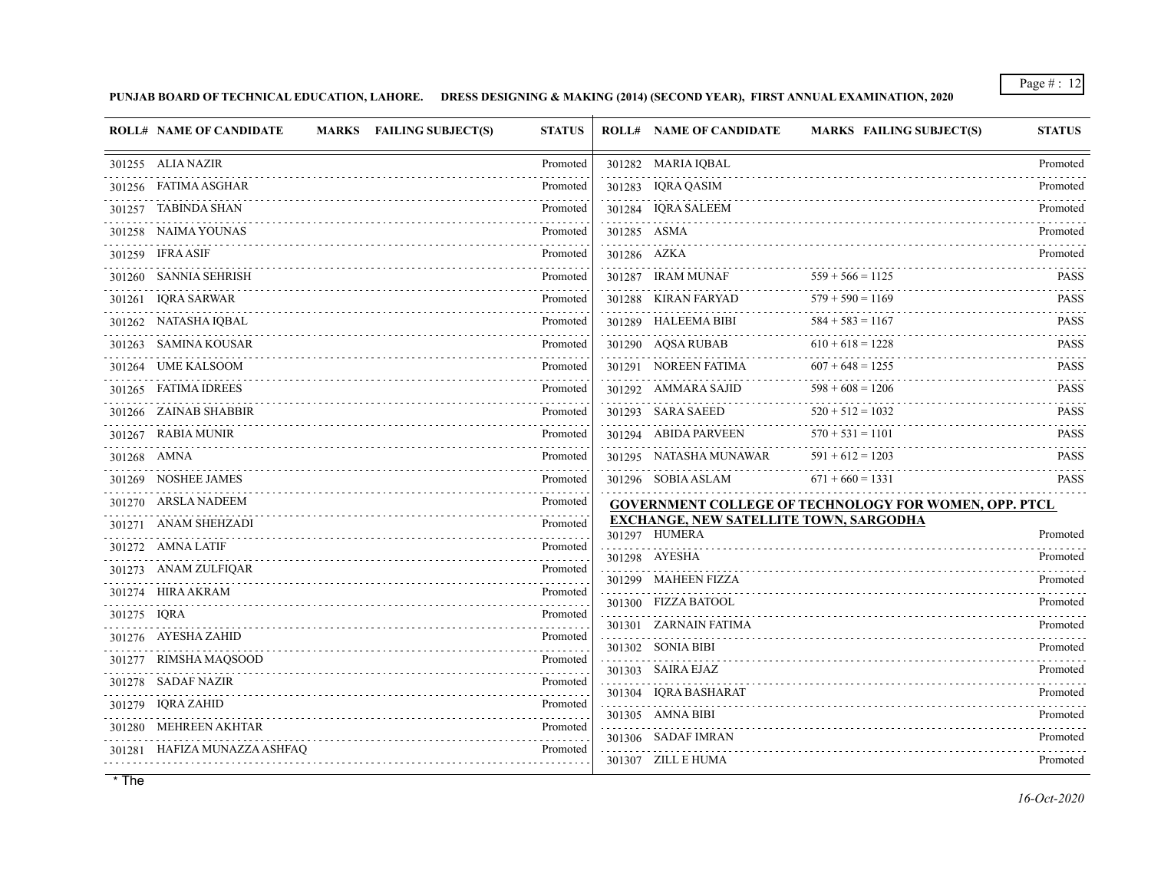**PUNJAB BOARD OF TECHNICAL EDUCATION, LAHORE. DRESS DESIGNING & MAKING (2014) (SECOND YEAR), FIRST ANNUAL EXAMINATION, 2020**

|             | <b>ROLL# NAME OF CANDIDATE</b> | MARKS FAILING SUBJECT(S) | <b>STATUS</b> |             | <b>ROLL# NAME OF CANDIDATE</b>                                 | MARKS FAILING SUBJECT(S)                                     | <b>STATUS</b> |
|-------------|--------------------------------|--------------------------|---------------|-------------|----------------------------------------------------------------|--------------------------------------------------------------|---------------|
|             | 301255 ALIA NAZIR              |                          | Promoted      |             | 301282 MARIA IQBAL                                             |                                                              | Promoted      |
|             | 301256 FATIMA ASGHAR           |                          | Promoted      |             | 301283 IQRA QASIM                                              |                                                              | Promoted      |
|             | 301257 TABINDA SHAN            |                          | Promoted      |             | 301284 IQRA SALEEM                                             |                                                              | Promoted      |
|             | 301258 NAIMA YOUNAS            |                          | Promoted      |             | 301285 ASMA                                                    |                                                              | Promoted      |
|             | 301259 IFRA ASIF               |                          | Promoted      | 301286 AZKA |                                                                |                                                              | Promoted      |
|             | 301260 SANNIA SEHRISH          |                          | Promoted      |             | 301287 IRAM MUNAF                                              | $559 + 566 = 1125$                                           | <b>PASS</b>   |
|             | 301261 IQRA SARWAR             |                          | Promoted      |             | 301288 KIRAN FARYAD                                            | $579 + 590 = 1169$                                           | <b>PASS</b>   |
|             | 301262 NATASHA IQBAL           |                          | Promoted      |             | 301289 HALEEMA BIBI                                            | $584 + 583 = 1167$                                           | <b>PASS</b>   |
|             | 301263 SAMINA KOUSAR           |                          | Promoted      |             | 301290 AQSA RUBAB                                              | $610 + 618 = 1228$                                           | <b>PASS</b>   |
|             | 301264 UME KALSOOM             |                          | Promoted      |             | 301291 NOREEN FATIMA                                           | $607 + 648 = 1255$                                           | <b>PASS</b>   |
|             | 301265 FATIMA IDREES           |                          | Promoted      |             | 301292 AMMARA SAJID                                            | $598 + 608 = 1206$                                           | <b>PASS</b>   |
|             | 301266 ZAINAB SHABBIR          |                          | Promoted      |             | 301293 SARA SAEED                                              | $520 + 512 = 1032$                                           | <b>PASS</b>   |
| .           | 301267 RABIA MUNIR             |                          | Promoted      |             | 301294 ABIDA PARVEEN                                           | $570 + 531 = 1101$                                           | <b>PASS</b>   |
|             | 301268 AMNA                    |                          | Promoted      |             | 301295 NATASHA MUNAWAR                                         | $591 + 612 = 1203$                                           | <b>PASS</b>   |
|             | 301269 NOSHEE JAMES            |                          | Promoted      |             | 301296 SOBIA ASLAM                                             | $671 + 660 = 1331$                                           | <b>PASS</b>   |
|             | 301270 ARSLA NADEEM            |                          | Promoted      |             |                                                                | <b>GOVERNMENT COLLEGE OF TECHNOLOGY FOR WOMEN, OPP. PTCL</b> |               |
|             | 301271 ANAM SHEHZADI           |                          | Promoted      |             | <b>EXCHANGE, NEW SATELLITE TOWN, SARGODHA</b><br>301297 HUMERA |                                                              | Promoted      |
|             | 301272 AMNA LATIF              |                          | Promoted      |             | 301298 AYESHA                                                  |                                                              | Promoted      |
|             | 301273 ANAM ZULFIQAR           |                          | Promoted<br>. |             | 301299 MAHEEN FIZZA                                            |                                                              | Promoted      |
|             | 301274 HIRA AKRAM              |                          | Promoted      |             | 301300 FIZZA BATOOL                                            |                                                              | Promoted      |
| 301275 IQRA |                                |                          | Promoted      |             | 301301 ZARNAIN FATIMA                                          |                                                              | Promoted      |
|             | 301276 AYESHA ZAHID            |                          | Promoted      |             | 301302 SONIA BIBI                                              |                                                              | Promoted      |
|             | 301277 RIMSHA MAQSOOD          |                          | Promoted      |             | 301303 SAIRA EJAZ                                              |                                                              | Promoted      |
|             | 301278 SADAF NAZIR             |                          | Promoted      |             | 301304 IQRA BASHARAT                                           |                                                              | Promoted      |
|             | 301279 IQRA ZAHID              |                          | Promoted      |             | 301305 AMNA BIBI                                               |                                                              | Promoted      |
|             | 301280 MEHREEN AKHTAR          |                          | Promoted      |             | 301306 SADAF IMRAN                                             |                                                              | Promoted      |
|             | 301281 HAFIZA MUNAZZA ASHFAQ   |                          | Promoted      |             | 301307 ZILL E HUMA                                             |                                                              | Promoted      |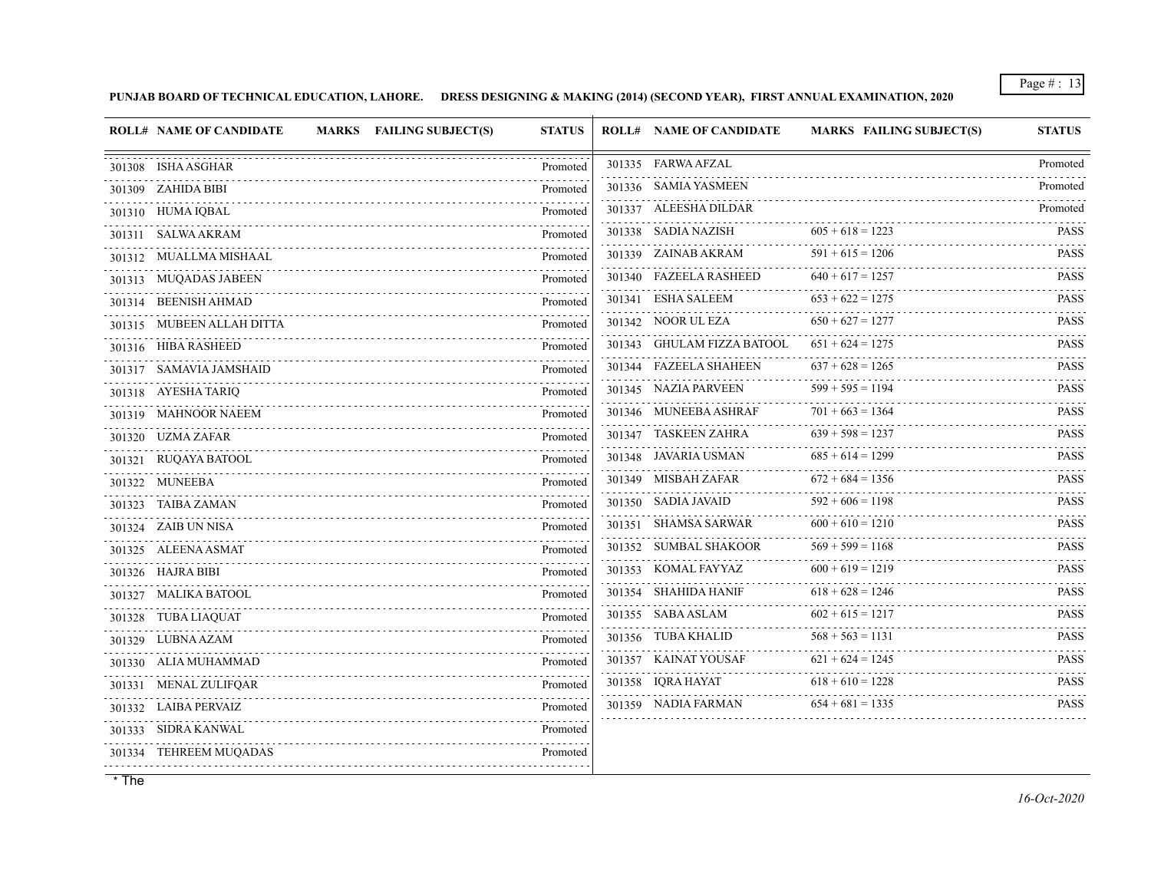**PUNJAB BOARD OF TECHNICAL EDUCATION, LAHORE. DRESS DESIGNING & MAKING (2014) (SECOND YEAR), FIRST ANNUAL EXAMINATION, 2020**

| <b>ROLL# NAME OF CANDIDATE</b> | MARKS FAILING SUBJECT(S) | <b>STATUS</b> | <b>ROLL# NAME OF CANDIDATE</b>   | MARKS FAILING SUBJECT(S) | <b>STATUS</b>            |
|--------------------------------|--------------------------|---------------|----------------------------------|--------------------------|--------------------------|
| 301308 ISHA ASGHAR             |                          | Promoted      | 301335 FARWA AFZAL               |                          | Promoted                 |
| 301309 ZAHIDA BIBI             |                          | Promoted      | 301336 SAMIA YASMEEN             |                          | Promoted                 |
| 301310 HUMA IQBAL              |                          | Promoted      | 301337 ALEESHA DILDAR            |                          | Promoted                 |
| 301311 SALWA AKRAM             |                          | Promoted      | 301338 SADIA NAZISH              | $605 + 618 = 1223$       | <b>PASS</b>              |
| 301312 MUALLMA MISHAAL         |                          | Promoted      | 301339 ZAINAB AKRAM              | $591 + 615 = 1206$       | .<br><b>PASS</b>         |
| 301313 MUQADAS JABEEN          |                          | .<br>Promoted | 301340 FAZEELA RASHEED           | $640 + 617 = 1257$       | <b>PASS</b>              |
| 301314 BEENISH AHMAD           |                          | Promoted      | 301341 ESHA SALEEM               | $653 + 622 = 1275$       | <b>PASS</b>              |
| 301315 MUBEEN ALLAH DITTA      |                          | Promoted      | 301342 NOOR UL EZA               | $650 + 627 = 1277$       | <b>PASS</b>              |
| 301316 HIBA RASHEED            |                          | Promoted      | 301343 GHULAM FIZZA BATOOL       | $651 + 624 = 1275$       | <b>PASS</b>              |
| 301317 SAMAVIA JAMSHAID        |                          | Promoted      | 301344 FAZEELA SHAHEEN           | $637 + 628 = 1265$       | <b>PASS</b>              |
| 301318 AYESHA TARIQ            |                          | Promoted      | 301345 NAZIA PARVEEN             | $599 + 595 = 1194$       | <b>PASS</b><br>.         |
| 301319 MAHNOOR NAEEM           |                          | Promoted      | 301346 MUNEEBA ASHRAF            | $701 + 663 = 1364$       | <b>PASS</b>              |
| 301320 UZMA ZAFAR              |                          | Promoted      | 301347 TASKEEN ZAHRA             | $639 + 598 = 1237$       | <b>PASS</b>              |
| 301321 RUQAYA BATOOL           |                          | Promoted      | 301348 JAVARIA USMAN             | $685 + 614 = 1299$       | <b>PASS</b>              |
| 301322 MUNEEBA                 |                          | Promoted      | 301349 MISBAH ZAFAR              | $672 + 684 = 1356$       | <b>PASS</b><br>2.2.2.2.1 |
| 301323 TAIBA ZAMAN             |                          | Promoted      | 301350 SADIA JAVAID              | $592 + 606 = 1198$<br>.  | <b>PASS</b>              |
| 301324 ZAIB UN NISA            |                          | Promoted      | 301351 SHAMSA SARWAR             | $600 + 610 = 1210$       | <b>PASS</b>              |
| 301325 ALEENA ASMAT            |                          | Promoted      | 301352 SUMBAL SHAKOOR            | $569 + 599 = 1168$       | <b>PASS</b><br>.         |
| 301326 HAJRA BIBI              |                          | Promoted      | 301353 KOMAL FAYYAZ              | $600 + 619 = 1219$       | <b>PASS</b>              |
| 301327 MALIKA BATOOL           |                          | Promoted      | 301354 SHAHIDA HANIF             | $618 + 628 = 1246$       | <b>PASS</b>              |
| 301328 TUBA LIAQUAT            |                          | Promoted      | 301355 SABA ASLAM                | $602 + 615 = 1217$       | <b>PASS</b>              |
| 301329 LUBNA AZAM              |                          | Promoted      | 301356 TUBA KHALID               | $568 + 563 = 1131$       | <b>PASS</b><br>.         |
| 301330 ALIA MUHAMMAD           |                          | Promoted      | 301357 KAINAT YOUSAF<br><u>.</u> | $621 + 624 = 1245$       | <b>PASS</b>              |
| 301331 MENAL ZULIFQAR          |                          | Promoted      | 301358 IQRA HAYAT                | $618 + 610 = 1228$       | <b>PASS</b><br>.         |
| 301332 LAIBA PERVAIZ           |                          | Promoted      | 301359 NADIA FARMAN              | $654 + 681 = 1335$       | <b>PASS</b>              |
| 301333 SIDRA KANWAL            |                          | Promoted      |                                  |                          |                          |
| 301334 TEHREEM MUQADAS         |                          | Promoted      |                                  |                          |                          |
|                                |                          |               |                                  |                          |                          |